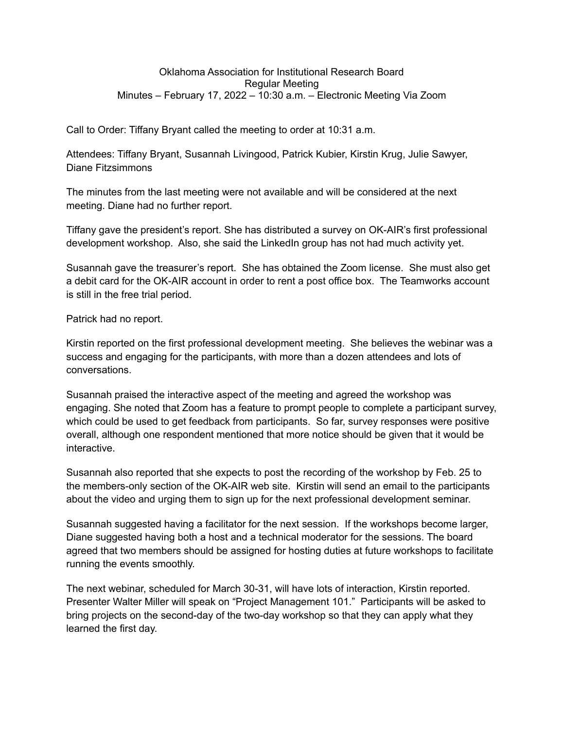## Oklahoma Association for Institutional Research Board Regular Meeting Minutes – February 17, 2022 – 10:30 a.m. – Electronic Meeting Via Zoom

Call to Order: Tiffany Bryant called the meeting to order at 10:31 a.m.

Attendees: Tiffany Bryant, Susannah Livingood, Patrick Kubier, Kirstin Krug, Julie Sawyer, Diane Fitzsimmons

The minutes from the last meeting were not available and will be considered at the next meeting. Diane had no further report.

Tiffany gave the president's report. She has distributed a survey on OK-AIR's first professional development workshop. Also, she said the LinkedIn group has not had much activity yet.

Susannah gave the treasurer's report. She has obtained the Zoom license. She must also get a debit card for the OK-AIR account in order to rent a post office box. The Teamworks account is still in the free trial period.

Patrick had no report.

Kirstin reported on the first professional development meeting. She believes the webinar was a success and engaging for the participants, with more than a dozen attendees and lots of conversations.

Susannah praised the interactive aspect of the meeting and agreed the workshop was engaging. She noted that Zoom has a feature to prompt people to complete a participant survey, which could be used to get feedback from participants. So far, survey responses were positive overall, although one respondent mentioned that more notice should be given that it would be interactive.

Susannah also reported that she expects to post the recording of the workshop by Feb. 25 to the members-only section of the OK-AIR web site. Kirstin will send an email to the participants about the video and urging them to sign up for the next professional development seminar.

Susannah suggested having a facilitator for the next session. If the workshops become larger, Diane suggested having both a host and a technical moderator for the sessions. The board agreed that two members should be assigned for hosting duties at future workshops to facilitate running the events smoothly.

The next webinar, scheduled for March 30-31, will have lots of interaction, Kirstin reported. Presenter Walter Miller will speak on "Project Management 101." Participants will be asked to bring projects on the second-day of the two-day workshop so that they can apply what they learned the first day.